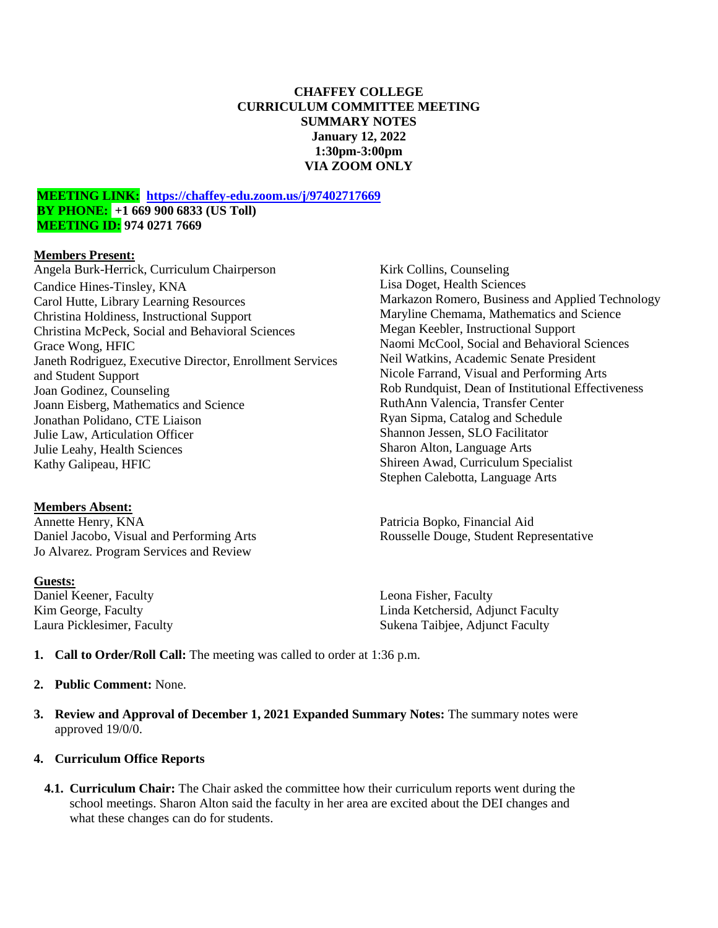### **CHAFFEY COLLEGE CURRICULUM COMMITTEE MEETING SUMMARY NOTES January 12, 2022 1:30pm-3:00pm VIA ZOOM ONLY**

#### **MEETING LINK: <https://chaffey-edu.zoom.us/j/97402717669> BY PHONE: +1 669 900 6833 (US Toll) MEETING ID: 974 0271 7669**

#### **Members Present:**

Angela Burk-Herrick, Curriculum Chairperson Candice Hines-Tinsley, KNA Carol Hutte, Library Learning Resources Christina Holdiness, Instructional Support Christina McPeck, Social and Behavioral Sciences Grace Wong, HFIC Janeth Rodriguez, Executive Director, Enrollment Services and Student Support Joan Godinez, Counseling Joann Eisberg, Mathematics and Science Jonathan Polidano, CTE Liaison Julie Law, Articulation Officer Julie Leahy, Health Sciences Kathy Galipeau, HFIC

## **Members Absent:**

Annette Henry, KNA Daniel Jacobo, Visual and Performing Arts Jo Alvarez. Program Services and Review

#### **Guests:**

Daniel Keener, Faculty Kim George, Faculty Laura Picklesimer, Faculty

Kirk Collins, Counseling Lisa Doget, Health Sciences Markazon Romero, Business and Applied Technology Maryline Chemama, Mathematics and Science Megan Keebler, Instructional Support Naomi McCool, Social and Behavioral Sciences Neil Watkins, Academic Senate President Nicole Farrand, Visual and Performing Arts Rob Rundquist, Dean of Institutional Effectiveness RuthAnn Valencia, Transfer Center Ryan Sipma, Catalog and Schedule Shannon Jessen, SLO Facilitator Sharon Alton, Language Arts Shireen Awad, Curriculum Specialist Stephen Calebotta, Language Arts

Patricia Bopko, Financial Aid Rousselle Douge, Student Representative

Leona Fisher, Faculty Linda Ketchersid, Adjunct Faculty Sukena Taibjee, Adjunct Faculty

**1. Call to Order/Roll Call:** The meeting was called to order at 1:36 p.m.

#### **2. Public Comment:** None.

**3. Review and Approval of December 1, 2021 Expanded Summary Notes:** The summary notes were approved 19/0/0.

#### **4. Curriculum Office Reports**

**4.1. Curriculum Chair:** The Chair asked the committee how their curriculum reports went during the school meetings. Sharon Alton said the faculty in her area are excited about the DEI changes and what these changes can do for students.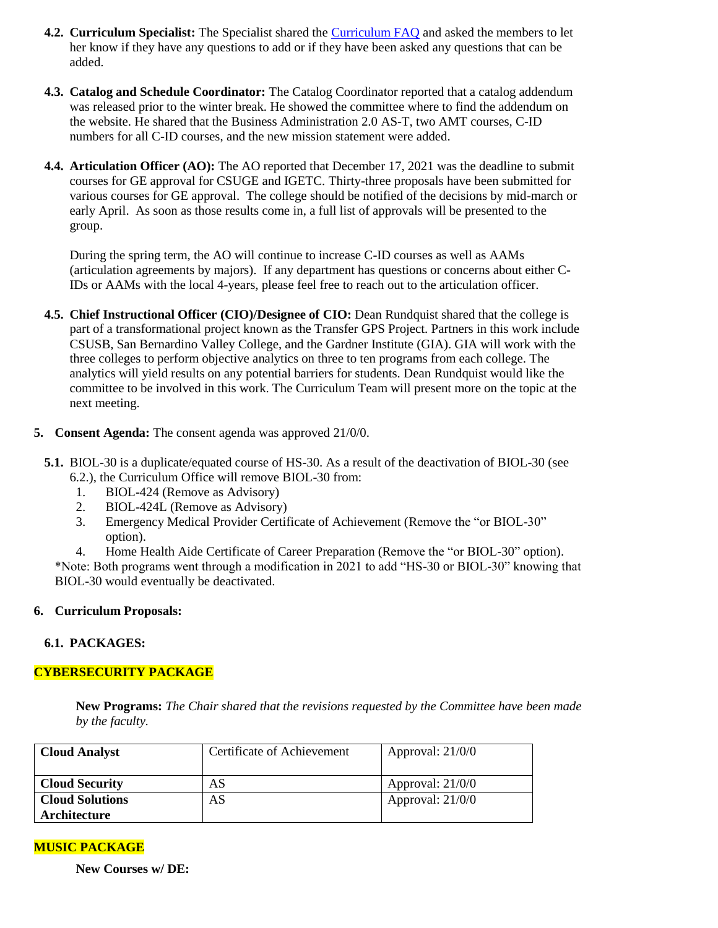- **4.2. Curriculum Specialist:** The Specialist shared the [Curriculum FAQ](https://docs.google.com/document/d/12LR7NgUUk_wU71rg5Xbo1RN5ZvlBbZJvFYvPDmLP8Oc/edit?usp=sharing) and asked the members to let her know if they have any questions to add or if they have been asked any questions that can be added.
- **4.3. Catalog and Schedule Coordinator:** The Catalog Coordinator reported that a catalog addendum was released prior to the winter break. He showed the committee where to find the addendum on the website. He shared that the Business Administration 2.0 AS-T, two AMT courses, C-ID numbers for all C-ID courses, and the new mission statement were added.
- **4.4. Articulation Officer (AO):** The AO reported that December 17, 2021 was the deadline to submit courses for GE approval for CSUGE and IGETC. Thirty-three proposals have been submitted for various courses for GE approval. The college should be notified of the decisions by mid-march or early April. As soon as those results come in, a full list of approvals will be presented to the group.

During the spring term, the AO will continue to increase C-ID courses as well as AAMs (articulation agreements by majors). If any department has questions or concerns about either C-IDs or AAMs with the local 4-years, please feel free to reach out to the articulation officer.

- **4.5. Chief Instructional Officer (CIO)/Designee of CIO:** Dean Rundquist shared that the college is part of a transformational project known as the Transfer GPS Project. Partners in this work include CSUSB, San Bernardino Valley College, and the Gardner Institute (GIA). GIA will work with the three colleges to perform objective analytics on three to ten programs from each college. The analytics will yield results on any potential barriers for students. Dean Rundquist would like the committee to be involved in this work. The Curriculum Team will present more on the topic at the next meeting.
- **5. Consent Agenda:** The consent agenda was approved 21/0/0.
- **5.1.** BIOL-30 is a duplicate/equated course of HS-30. As a result of the deactivation of BIOL-30 (see 6.2.), the Curriculum Office will remove BIOL-30 from:
	- 1. BIOL-424 (Remove as Advisory)
	- 2. BIOL-424L (Remove as Advisory)
	- 3. Emergency Medical Provider Certificate of Achievement (Remove the "or BIOL-30" option).
	- 4. Home Health Aide Certificate of Career Preparation (Remove the "or BIOL-30" option).

\*Note: Both programs went through a modification in 2021 to add "HS-30 or BIOL-30" knowing that BIOL-30 would eventually be deactivated.

## **6. Curriculum Proposals:**

#### **6.1. PACKAGES:**

## **CYBERSECURITY PACKAGE**

**New Programs:** *The Chair shared that the revisions requested by the Committee have been made by the faculty.*

| <b>Cloud Analyst</b>   | Certificate of Achievement | Approval: 21/0/0   |
|------------------------|----------------------------|--------------------|
| <b>Cloud Security</b>  | AS                         | Approval: $21/0/0$ |
| <b>Cloud Solutions</b> | AS                         | Approval: $21/0/0$ |
| Architecture           |                            |                    |

## **MUSIC PACKAGE**

**New Courses w/ DE:**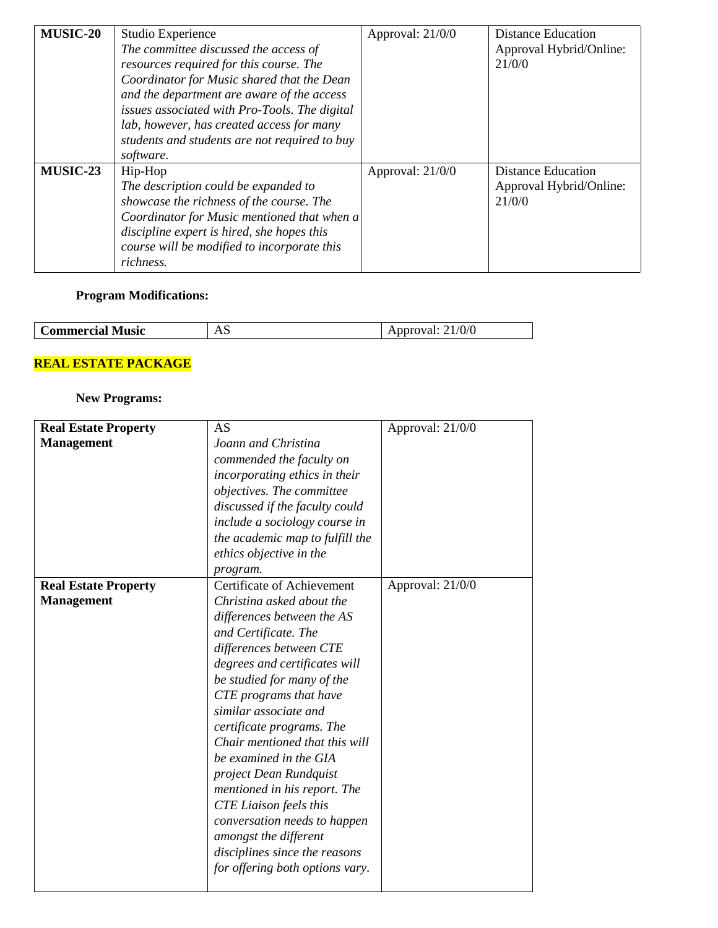| <b>MUSIC-20</b> | Studio Experience<br>The committee discussed the access of<br>resources required for this course. The<br>Coordinator for Music shared that the Dean<br>and the department are aware of the access<br>issues associated with Pro-Tools. The digital<br>lab, however, has created access for many<br>students and students are not required to buy<br>software. | Approval: 21/0/0   | <b>Distance Education</b><br>Approval Hybrid/Online:<br>21/0/0 |
|-----------------|---------------------------------------------------------------------------------------------------------------------------------------------------------------------------------------------------------------------------------------------------------------------------------------------------------------------------------------------------------------|--------------------|----------------------------------------------------------------|
| MUSIC-23        | Hip-Hop<br>The description could be expanded to<br>showcase the richness of the course. The<br>Coordinator for Music mentioned that when a<br>discipline expert is hired, she hopes this<br>course will be modified to incorporate this<br>richness.                                                                                                          | Approval: $21/0/0$ | <b>Distance Education</b><br>Approval Hybrid/Online:<br>21/0/0 |

## **Program Modifications:**

| <b>Music</b><br>'ommercial | $\cdot$ .<br>$\overline{1}$ | V/V<br>. |
|----------------------------|-----------------------------|----------|
|                            |                             |          |

# **REAL ESTATE PACKAGE**

# **New Programs:**

| <b>Real Estate Property</b> | AS                              | Approval: 21/0/0 |
|-----------------------------|---------------------------------|------------------|
| <b>Management</b>           | Joann and Christina             |                  |
|                             | commended the faculty on        |                  |
|                             | incorporating ethics in their   |                  |
|                             | objectives. The committee       |                  |
|                             | discussed if the faculty could  |                  |
|                             | include a sociology course in   |                  |
|                             | the academic map to fulfill the |                  |
|                             | ethics objective in the         |                  |
|                             | program.                        |                  |
| <b>Real Estate Property</b> | Certificate of Achievement      | Approval: 21/0/0 |
| <b>Management</b>           | Christina asked about the       |                  |
|                             | differences between the AS      |                  |
|                             | and Certificate. The            |                  |
|                             | differences between CTE         |                  |
|                             | degrees and certificates will   |                  |
|                             | be studied for many of the      |                  |
|                             | CTE programs that have          |                  |
|                             | similar associate and           |                  |
|                             | certificate programs. The       |                  |
|                             | Chair mentioned that this will  |                  |
|                             | be examined in the GIA          |                  |
|                             | project Dean Rundquist          |                  |
|                             | mentioned in his report. The    |                  |
|                             | <b>CTE</b> Liaison feels this   |                  |
|                             | conversation needs to happen    |                  |
|                             | amongst the different           |                  |
|                             | disciplines since the reasons   |                  |
|                             | for offering both options vary. |                  |
|                             |                                 |                  |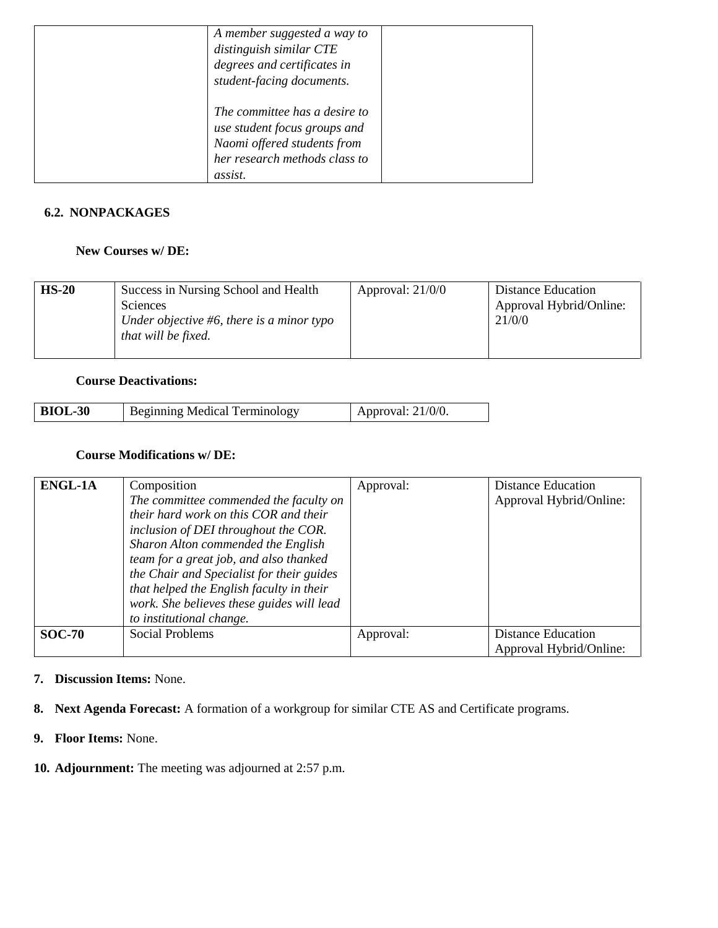| A member suggested a way to<br>distinguish similar CTE<br>degrees and certificates in<br>student-facing documents.                       |  |
|------------------------------------------------------------------------------------------------------------------------------------------|--|
| The committee has a desire to<br>use student focus groups and<br>Naomi offered students from<br>her research methods class to<br>assist. |  |

## **6.2. NONPACKAGES**

### **New Courses w/ DE:**

| $HS-20$ | Success in Nursing School and Health<br><b>Sciences</b><br>Under objective #6, there is a minor typo<br>that will be fixed. | Approval: $21/0/0$ | <b>Distance Education</b><br>Approval Hybrid/Online:<br>21/0/0 |
|---------|-----------------------------------------------------------------------------------------------------------------------------|--------------------|----------------------------------------------------------------|
|---------|-----------------------------------------------------------------------------------------------------------------------------|--------------------|----------------------------------------------------------------|

### **Course Deactivations:**

### **Course Modifications w/ DE:**

| <b>ENGL-1A</b> | Composition                               | Approval: | <b>Distance Education</b> |
|----------------|-------------------------------------------|-----------|---------------------------|
|                | The committee commended the faculty on    |           | Approval Hybrid/Online:   |
|                | their hard work on this COR and their     |           |                           |
|                | inclusion of DEI throughout the COR.      |           |                           |
|                | Sharon Alton commended the English        |           |                           |
|                | team for a great job, and also thanked    |           |                           |
|                | the Chair and Specialist for their guides |           |                           |
|                | that helped the English faculty in their  |           |                           |
|                | work. She believes these guides will lead |           |                           |
|                | to institutional change.                  |           |                           |
| <b>SOC-70</b>  | <b>Social Problems</b>                    | Approval: | <b>Distance Education</b> |
|                |                                           |           | Approval Hybrid/Online:   |

- **7. Discussion Items:** None.
- **8. Next Agenda Forecast:** A formation of a workgroup for similar CTE AS and Certificate programs.
- **9. Floor Items:** None.
- **10. Adjournment:** The meeting was adjourned at 2:57 p.m.